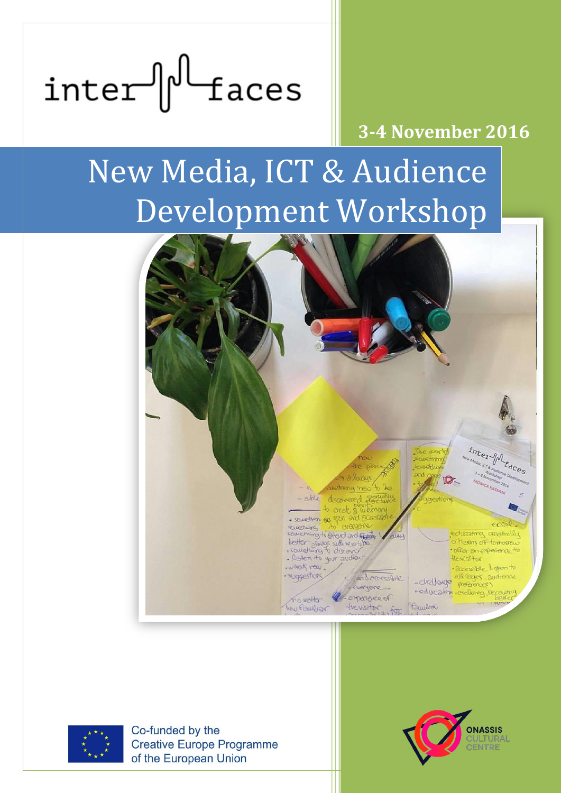# $inter$  $\left|\int_{0}^{1}$  faces

### **3-4 November 2016**

# New Media, ICT & Audience Development Workshop





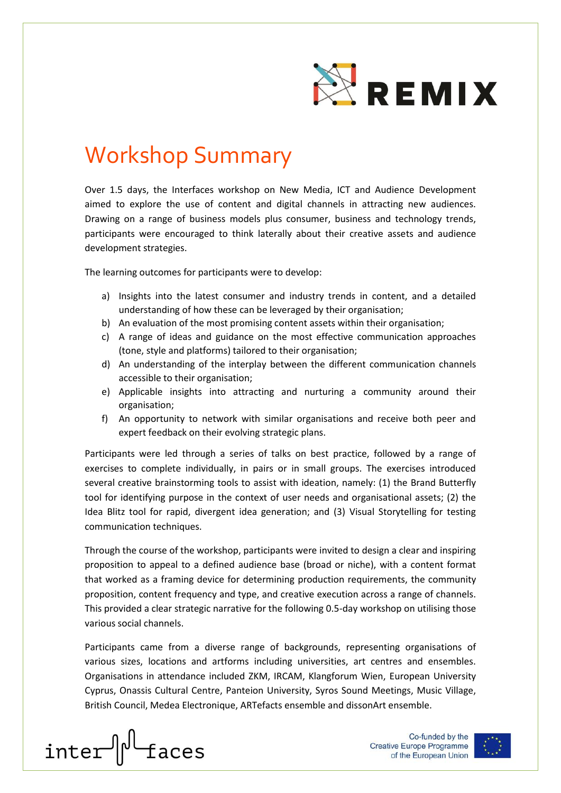

# Workshop Summary

Over 1.5 days, the Interfaces workshop on New Media, ICT and Audience Development aimed to explore the use of content and digital channels in attracting new audiences. Drawing on a range of business models plus consumer, business and technology trends, participants were encouraged to think laterally about their creative assets and audience development strategies.

The learning outcomes for participants were to develop:

- a) Insights into the latest consumer and industry trends in content, and a detailed understanding of how these can be leveraged by their organisation;
- b) An evaluation of the most promising content assets within their organisation;
- c) A range of ideas and guidance on the most effective communication approaches (tone, style and platforms) tailored to their organisation;
- d) An understanding of the interplay between the different communication channels accessible to their organisation;
- e) Applicable insights into attracting and nurturing a community around their organisation;
- f) An opportunity to network with similar organisations and receive both peer and expert feedback on their evolving strategic plans.

Participants were led through a series of talks on best practice, followed by a range of exercises to complete individually, in pairs or in small groups. The exercises introduced several creative brainstorming tools to assist with ideation, namely: (1) the Brand Butterfly tool for identifying purpose in the context of user needs and organisational assets; (2) the Idea Blitz tool for rapid, divergent idea generation; and (3) Visual Storytelling for testing communication techniques.

Through the course of the workshop, participants were invited to design a clear and inspiring proposition to appeal to a defined audience base (broad or niche), with a content format that worked as a framing device for determining production requirements, the community proposition, content frequency and type, and creative execution across a range of channels. This provided a clear strategic narrative for the following 0.5-day workshop on utilising those various social channels.

Participants came from a diverse range of backgrounds, representing organisations of various sizes, locations and artforms including universities, art centres and ensembles. Organisations in attendance included ZKM, IRCAM, Klangforum Wien, European University Cyprus, Onassis Cultural Centre, Panteion University, Syros Sound Meetings, Music Village, British Council, Medea Electronique, ARTefacts ensemble and dissonArt ensemble.



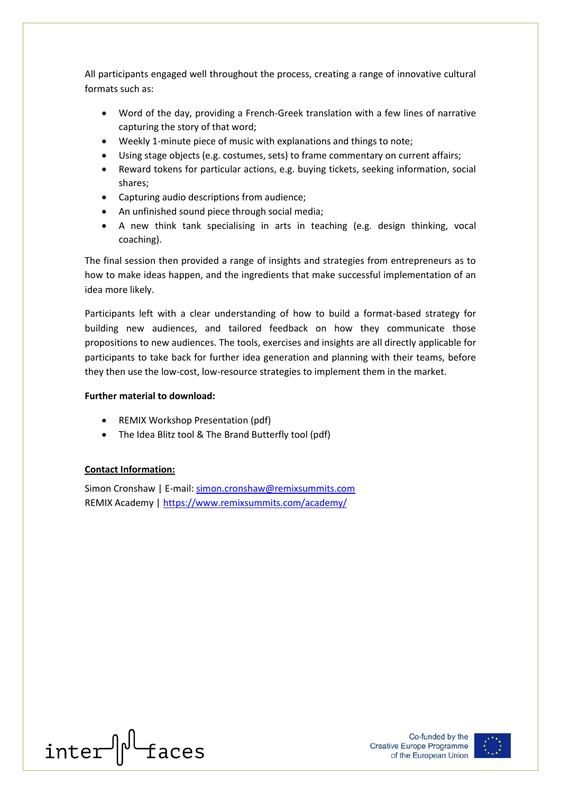All participants engaged well throughout the process, creating a range of innovative cultural formats such as:

- Word of the day, providing a French-Greek translation with a few lines of narrative capturing the story of that word;
- Weekly 1-minute piece of music with explanations and things to note;
- Using stage objects (e.g. costumes, sets) to frame commentary on current affairs;
- Reward tokens for particular actions, e.g. buying tickets, seeking information, social shares;
- Capturing audio descriptions from audience;
- An unfinished sound piece through social media;
- A new think tank specialising in arts in teaching (e.g. design thinking, vocal coaching).

The final session then provided a range of insights and strategies from entrepreneurs as to how to make ideas happen, and the ingredients that make successful implementation of an idea more likely.

Participants left with a clear understanding of how to build a format-based strategy for building new audiences, and tailored feedback on how they communicate those propositions to new audiences. The tools, exercises and insights are all directly applicable for participants to take back for further idea generation and planning with their teams, before they then use the low-cost, low-resource strategies to implement them in the market.

#### **Further material to download:**

- REMIX Workshop Presentation (pdf)
- The Idea Blitz tool & The Brand Butterfly tool (pdf)

#### **Contact Information:**

Simon Cronshaw | E-mail: [simon.cronshaw@remixsummits.com](mailto:simon.cronshaw@remixsummits.com) REMIX Academy |<https://www.remixsummits.com/academy/>

inter || faces